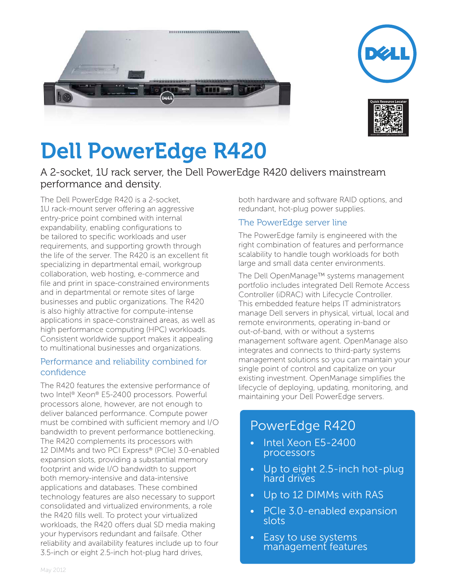





# **Dell PowerEdge R420**

A 2-socket, 1U rack server, the Dell PowerEdge R420 delivers mainstream performance and density.

The Dell PowerEdge R420 is a 2-socket, 1U rack-mount server offering an aggressive entry-price point combined with internal expandability, enabling configurations to be tailored to specific workloads and user requirements, and supporting growth through the life of the server. The R420 is an excellent fit specializing in departmental email, workgroup collaboration, web hosting, e-commerce and file and print in space-constrained environments and in departmental or remote sites of large businesses and public organizations. The R420 is also highly attractive for compute-intense applications in space-constrained areas, as well as high performance computing (HPC) workloads. Consistent worldwide support makes it appealing to multinational businesses and organizations.

### Performance and reliability combined for confidence

The R420 features the extensive performance of two Intel® Xeon® E5-2400 processors. Powerful processors alone, however, are not enough to deliver balanced performance. Compute power must be combined with sufficient memory and I/O bandwidth to prevent performance bottlenecking. The R420 complements its processors with 12 DIMMs and two PCI Express® (PCIe) 3.0-enabled expansion slots, providing a substantial memory footprint and wide I/O bandwidth to support both memory-intensive and data-intensive applications and databases. These combined technology features are also necessary to support consolidated and virtualized environments, a role the R420 fills well. To protect your virtualized workloads, the R420 offers dual SD media making your hypervisors redundant and failsafe. Other reliability and availability features include up to four 3.5-inch or eight 2.5-inch hot-plug hard drives,

both hardware and software RAID options, and redundant, hot-plug power supplies.

## The PowerEdge server line

The PowerEdge family is engineered with the right combination of features and performance scalability to handle tough workloads for both large and small data center environments.

The Dell OpenManage™ systems management portfolio includes integrated Dell Remote Access Controller (iDRAC) with Lifecycle Controller. This embedded feature helps IT administrators manage Dell servers in physical, virtual, local and remote environments, operating in-band or out-of-band, with or without a systems management software agent. OpenManage also integrates and connects to third-party systems management solutions so you can maintain your single point of control and capitalize on your existing investment. OpenManage simplifies the lifecycle of deploying, updating, monitoring, and maintaining your Dell PowerEdge servers.

# PowerEdge R420

- Intel Xeon E5-2400 processors
- Up to eight 2.5-inch hot-plug hard drives
- • Up to 12 DIMMs with RAS
- PCIe 3.0-enabled expansion slots
- Easy to use systems management features